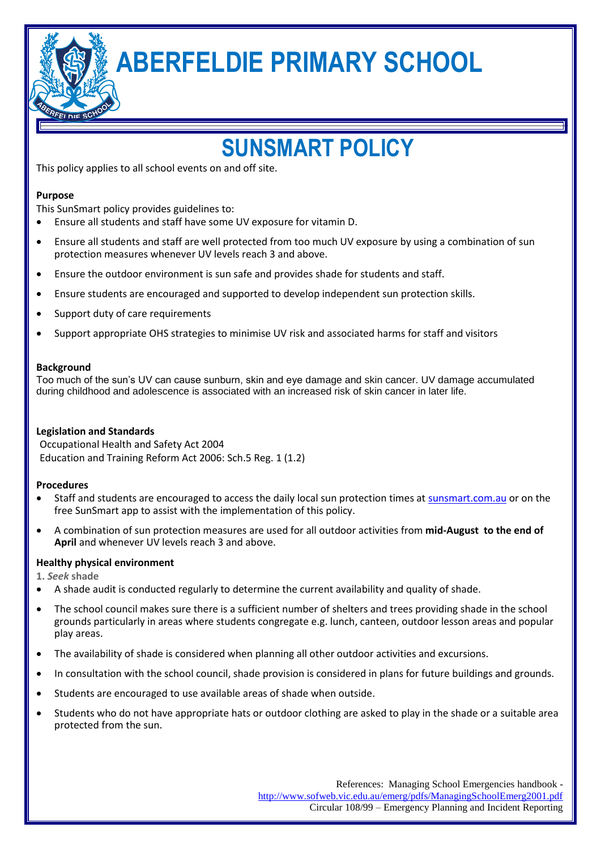**ABERFELDIE PRIMARY SCHOOL**

# **SUNSMART POLICY**

This policy applies to all school events on and off site.

## **Purpose**

This SunSmart policy provides guidelines to:

- Ensure all students and staff have some UV exposure for vitamin D.
- Ensure all students and staff are well protected from too much UV exposure by using a combination of sun protection measures whenever UV levels reach 3 and above.
- Ensure the outdoor environment is sun safe and provides shade for students and staff.
- Ensure students are encouraged and supported to develop independent sun protection skills.
- Support duty of care requirements
- Support appropriate OHS strategies to minimise UV risk and associated harms for staff and visitors

## **Background**

Too much of the sun's UV can cause sunburn, skin and eye damage and skin cancer. UV damage accumulated during childhood and adolescence is associated with an increased risk of skin cancer in later life.

# **Legislation and Standards**

Occupational Health and Safety Act 2004 Education and Training Reform Act 2006: Sch.5 Reg. 1 (1.2)

# **Procedures**

- Staff and students are encouraged to access the daily local sun protection times at sunsmart.com.au or on the free SunSmart app to assist with the implementation of this policy.
- A combination of sun protection measures are used for all outdoor activities from **mid-August to the end of April** and whenever UV levels reach 3 and above.

# **Healthy physical environment**

**1.** *Seek* **shade**

- A shade audit is conducted regularly to determine the current availability and quality of shade.
- The school council makes sure there is a sufficient number of shelters and trees providing shade in the school grounds particularly in areas where students congregate e.g. lunch, canteen, outdoor lesson areas and popular play areas.
- The availability of shade is considered when planning all other outdoor activities and excursions.
- In consultation with the school council, shade provision is considered in plans for future buildings and grounds.
- Students are encouraged to use available areas of shade when outside.
- Students who do not have appropriate hats or outdoor clothing are asked to play in the shade or a suitable area protected from the sun.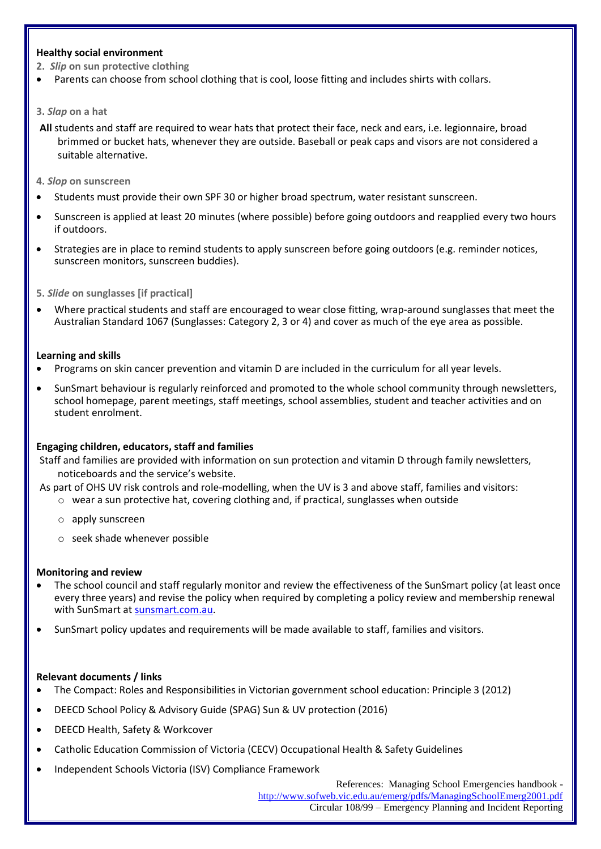## **Healthy social environment**

- **2.** *Slip* **on sun protective clothing**
- Parents can choose from school clothing that is cool, loose fitting and includes shirts with collars.

#### **3.** *Slap* **on a hat**

- **All** students and staff are required to wear hats that protect their face, neck and ears, i.e. legionnaire, broad brimmed or bucket hats, whenever they are outside. Baseball or peak caps and visors are not considered a suitable alternative.
- **4.** *Slop* **on sunscreen**
- Students must provide their own SPF 30 or higher broad spectrum, water resistant sunscreen.
- Sunscreen is applied at least 20 minutes (where possible) before going outdoors and reapplied every two hours if outdoors.
- Strategies are in place to remind students to apply sunscreen before going outdoors (e.g. reminder notices, sunscreen monitors, sunscreen buddies).
- **5.** *Slide* **on sunglasses [if practical]**
- Where practical students and staff are encouraged to wear close fitting, wrap-around sunglasses that meet the Australian Standard 1067 (Sunglasses: Category 2, 3 or 4) and cover as much of the eye area as possible.

#### **Learning and skills**

- Programs on skin cancer prevention and vitamin D are included in the curriculum for all year levels.
- SunSmart behaviour is regularly reinforced and promoted to the whole school community through newsletters, school homepage, parent meetings, staff meetings, school assemblies, student and teacher activities and on student enrolment.

## **Engaging children, educators, staff and families**

Staff and families are provided with information on sun protection and vitamin D through family newsletters, noticeboards and the service's website.

- As part of OHS UV risk controls and role-modelling, when the UV is 3 and above staff, families and visitors:
	- o wear a sun protective hat, covering clothing and, if practical, sunglasses when outside
	- o apply sunscreen
	- o seek shade whenever possible

## **Monitoring and review**

- The school council and staff regularly monitor and review the effectiveness of the SunSmart policy (at least once every three years) and revise the policy when required by completing a policy review and membership renewal with SunSmart at sunsmart.com.au.
- SunSmart policy updates and requirements will be made available to staff, families and visitors.

## **Relevant documents / links**

- The Compact: Roles and Responsibilities in Victorian government school education: Principle 3 (2012)
- DEECD School Policy & Advisory Guide (SPAG) Sun & UV protection (2016)
- DEECD Health, Safety & Workcover
- Catholic Education Commission of Victoria (CECV) Occupational Health & Safety Guidelines
- Independent Schools Victoria (ISV) Compliance Framework

References: Managing School Emergencies handbook <http://www.sofweb.vic.edu.au/emerg/pdfs/ManagingSchoolEmerg2001.pdf> Circular 108/99 – Emergency Planning and Incident Reporting